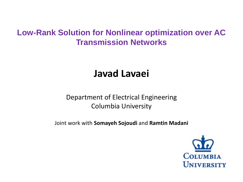# **Low-Rank Solution for Nonlinear optimization over AC Transmission Networks**

# **Javad Lavaei**

## Department of Electrical Engineering Columbia University

Joint work with **Somayeh Sojoudi** and **Ramtin Madani**

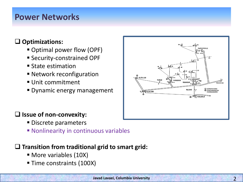# **Power Networks**

### **Optimizations:**

- Optimal power flow (OPF)
- **Security-constrained OPF**
- State estimation
- Network reconfiguration
- Unit commitment
- **Dynamic energy management**



## $\square$  Issue of non-convexity:

- **Discrete parameters**
- **Nonlinearity in continuous variables**

### **Transition from traditional grid to smart grid:**

- More variables (10X)
- **Time constraints (100X)**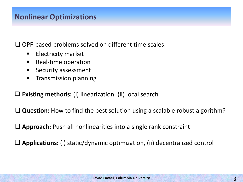## **Nonlinear Optimizations**

 $\Box$  OPF-based problems solved on different time scales:

- $\blacksquare$  Electricity market
- Real-time operation
- Security assessment
- **Transmission planning**

**Existing methods:** (i) linearization, (ii) local search

**□ Question:** How to find the best solution using a scalable robust algorithm?

**Approach:** Push all nonlinearities into a single rank constraint

**Applications:** (i) static/dynamic optimization, (ii) decentralized control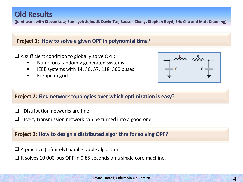## **Old Results**

**(joint work with Steven Low, Somayeh Sojoudi, David Tse, Baosen Zhang, Stephen Boyd, Eric Chu and Matt Kranning)**

#### **Project 1: How to solve a given OPF in polynomial time?**

 $\Box$  A sufficient condition to globally solve OPF:

- **Numerous randomly generated systems**
- $\blacksquare$  IEEE systems with 14, 30, 57, 118, 300 buses
- **European grid**



#### **Project 2: Find network topologies over which optimization is easy?**

- $\Box$  Distribution networks are fine.
- $\Box$  Every transmission network can be turned into a good one.

#### **Project 3: How to design a distributed algorithm for solving OPF?**

- $\square$  A practical (infinitely) parallelizable algorithm
- It solves 10,000-bus OPF in 0.85 seconds on a single core machine.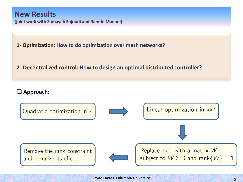### **New Results**

**(joint work with Somayeh Sojoudi and Ramtin Madani)**

**1- Optimization: How to do optimization over mesh networks?**

### **2- Decentralized control: How to design an optimal distributed controller?**

#### **Approach:**

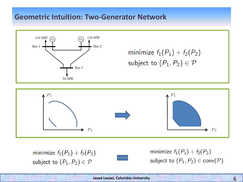## **Geometric Intuition: Two-Generator Network**



minimize  $f_1(P_1) + f_2(P_2)$ subject to  $(P_1, P_2) \in \mathcal{P}$ 



minimize  $f_1(P_1) + f_2(P_2)$ subject to  $(P_1, P_2) \in \mathcal{P}$ 



minimize  $f_1(P_1) + f_2(P_2)$ subject to  $(P_1, P_2) \in \text{conv}(\mathcal{P})$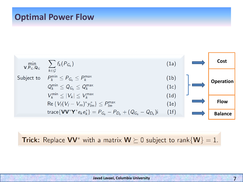# **Optimal Power Flow**



**Trick:** Replace  $VV^*$  with a matrix  $W \succeq 0$  subject to rank $\{W\} = 1$ .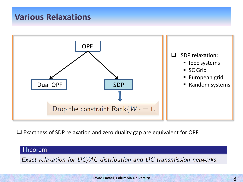# **Various Relaxations**



Exactness of SDP relaxation and zero duality gap are equivalent for OPF.

### Theorem

Exact relaxation for DC/AC distribution and DC transmission networks.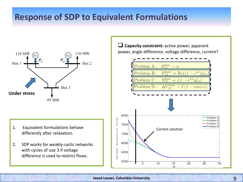# **Response of SDP to Equivalent Formulations**



- differently after relaxation.
- 2. SDP works for weakly-cyclic networks with cycles of size 3 if voltage difference is used to restrict flows.

 **Capacity constraint:** active power, apparent power, angle difference, voltage difference, current?

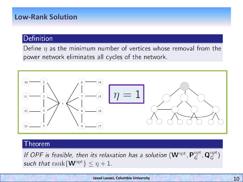## **Low-Rank Solution**

### Definition

Define  $\eta$  as the minimum number of vertices whose removal from the power network eliminates all cycles of the network.



### Theorem

If OPF is feasible, then its relaxation has a solution  $(\mathbf{W}^{\text{opt}}, \mathbf{P}_G^{\text{opt}}, \mathbf{Q}_G^{\text{opt}})$ such that rank $\{W^{\text{opt}}\}\leq \eta+1$ .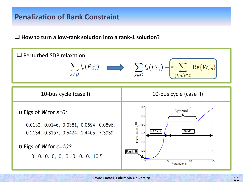## **Penalization of Rank Constraint**

#### **How to turn a low-rank solution into a rank-1 solution?**

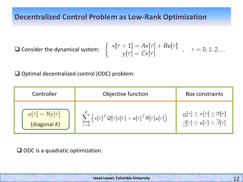## **Decentralized Control Problem as Low-Rank Optimization**

 $\square$  Consider the dynamical system:

$$
\begin{cases}\n x[\tau + 1] = Ax[\tau] + Bu[\tau] \\
 y[\tau] = Cx[\tau]\n\end{cases}, \quad \tau = 0, 1, 2, ...
$$

□ Optimal decentralized control (ODC) problem:

| Controller           | Objective function                                                                    | <b>Box constraints</b>                                   |
|----------------------|---------------------------------------------------------------------------------------|----------------------------------------------------------|
| $u[\tau] = Ky[\tau]$ | $\sum_{i=1}^{p} \left( x[\tau]^T Q[\tau] x[\tau] + u[\tau]^T R[\tau] u[\tau] \right)$ | $\alpha[\tau] \leq x[\tau] \leq \overline{\alpha}[\tau]$ |
| (diagonal $K$ )      | $\overline{\tau=0}$                                                                   | $\beta[\tau] \leq u[\tau] \leq \overline{\beta}[\tau]$   |

 $\Box$  ODC is a quadratic optimization.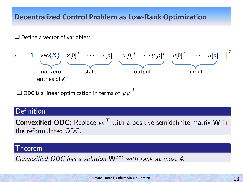## **Decentralized Control Problem as Low-Rank Optimization**

 $\Box$  Define a vector of variables:



 $\square$  ODC is a linear optimization in terms of  $VV^\top$ .

### Definition

**Convexified ODC:** Replace  $vv<sup>T</sup>$  with a positive semidefinite matrix **W** in the reformulated ODC.

#### heorem

Convexified ODC has a solution **W**<sup>opt</sup> with rank at most 4.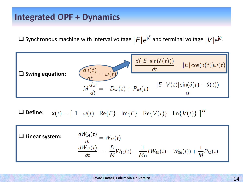# **Integrated OPF + Dynamics**

**Q** Synchronous machine with interval voltage  $|E|e^{j\delta}$  and terminal voltage  $|V|e^{j\theta}$ .



 $\mathbf{x}(t) = \begin{bmatrix} 1 & \omega(t) & \text{Re}{E} \end{bmatrix}$   $\text{Im}{E}$   $\text{Re}{V(t)}$   $\text{Im}{V(t)}$   $\begin{bmatrix} H \\ H \end{bmatrix}$ **Define:**

**Linear system:**

$$
\begin{aligned}\n\frac{dW_{14}(t)}{dt} &= W_{32}(t) \\
\frac{dW_{12}(t)}{dt} &= -\frac{D}{M}W_{12}(t) - \frac{1}{M\alpha}(W_{45}(t) - W_{36}(t)) + \frac{1}{M}P_M(t)\n\end{aligned}
$$